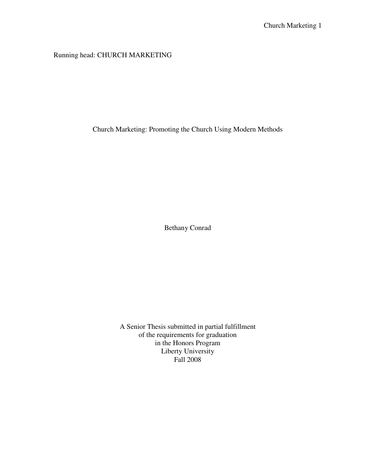Running head: CHURCH MARKETING

Church Marketing: Promoting the Church Using Modern Methods

Bethany Conrad

A Senior Thesis submitted in partial fulfillment of the requirements for graduation in the Honors Program Liberty University Fall 2008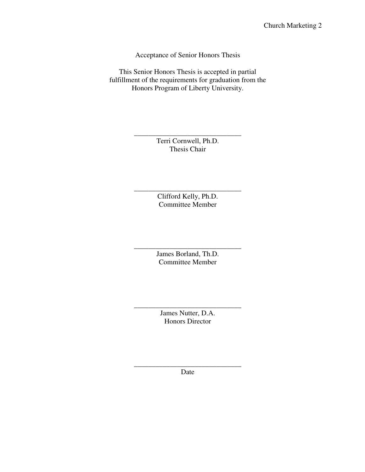Acceptance of Senior Honors Thesis

This Senior Honors Thesis is accepted in partial fulfillment of the requirements for graduation from the Honors Program of Liberty University.

> Terri Cornwell, Ph.D. Thesis Chair

\_\_\_\_\_\_\_\_\_\_\_\_\_\_\_\_\_\_\_\_\_\_\_\_\_\_\_\_\_\_

\_\_\_\_\_\_\_\_\_\_\_\_\_\_\_\_\_\_\_\_\_\_\_\_\_\_\_\_\_\_ Clifford Kelly, Ph.D. Committee Member

> James Borland, Th.D. Committee Member

\_\_\_\_\_\_\_\_\_\_\_\_\_\_\_\_\_\_\_\_\_\_\_\_\_\_\_\_\_\_

\_\_\_\_\_\_\_\_\_\_\_\_\_\_\_\_\_\_\_\_\_\_\_\_\_\_\_\_\_\_ James Nutter, D.A. Honors Director

\_\_\_\_\_\_\_\_\_\_\_\_\_\_\_\_\_\_\_\_\_\_\_\_\_\_\_\_\_\_ Date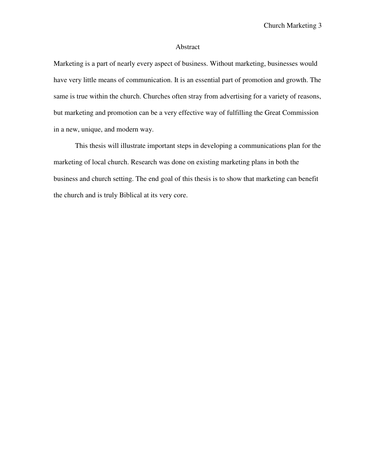## Abstract

Marketing is a part of nearly every aspect of business. Without marketing, businesses would have very little means of communication. It is an essential part of promotion and growth. The same is true within the church. Churches often stray from advertising for a variety of reasons, but marketing and promotion can be a very effective way of fulfilling the Great Commission in a new, unique, and modern way.

 This thesis will illustrate important steps in developing a communications plan for the marketing of local church. Research was done on existing marketing plans in both the business and church setting. The end goal of this thesis is to show that marketing can benefit the church and is truly Biblical at its very core.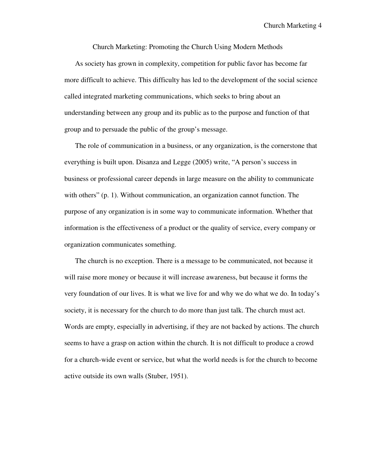Church Marketing 4

Church Marketing: Promoting the Church Using Modern Methods

As society has grown in complexity, competition for public favor has become far more difficult to achieve. This difficulty has led to the development of the social science called integrated marketing communications, which seeks to bring about an understanding between any group and its public as to the purpose and function of that group and to persuade the public of the group's message.

The role of communication in a business, or any organization, is the cornerstone that everything is built upon. Disanza and Legge (2005) write, "A person's success in business or professional career depends in large measure on the ability to communicate with others" (p. 1). Without communication, an organization cannot function. The purpose of any organization is in some way to communicate information. Whether that information is the effectiveness of a product or the quality of service, every company or organization communicates something.

The church is no exception. There is a message to be communicated, not because it will raise more money or because it will increase awareness, but because it forms the very foundation of our lives. It is what we live for and why we do what we do. In today's society, it is necessary for the church to do more than just talk. The church must act. Words are empty, especially in advertising, if they are not backed by actions. The church seems to have a grasp on action within the church. It is not difficult to produce a crowd for a church-wide event or service, but what the world needs is for the church to become active outside its own walls (Stuber, 1951).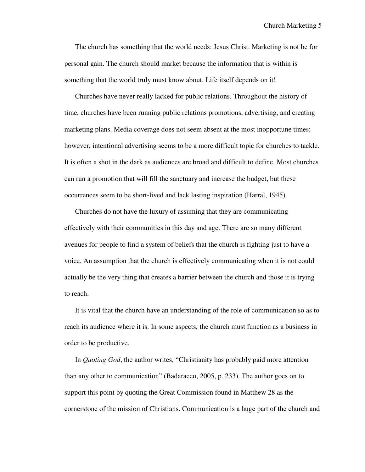The church has something that the world needs: Jesus Christ. Marketing is not be for personal gain. The church should market because the information that is within is something that the world truly must know about. Life itself depends on it!

Churches have never really lacked for public relations. Throughout the history of time, churches have been running public relations promotions, advertising, and creating marketing plans. Media coverage does not seem absent at the most inopportune times; however, intentional advertising seems to be a more difficult topic for churches to tackle. It is often a shot in the dark as audiences are broad and difficult to define. Most churches can run a promotion that will fill the sanctuary and increase the budget, but these occurrences seem to be short-lived and lack lasting inspiration (Harral, 1945).

Churches do not have the luxury of assuming that they are communicating effectively with their communities in this day and age. There are so many different avenues for people to find a system of beliefs that the church is fighting just to have a voice. An assumption that the church is effectively communicating when it is not could actually be the very thing that creates a barrier between the church and those it is trying to reach.

It is vital that the church have an understanding of the role of communication so as to reach its audience where it is. In some aspects, the church must function as a business in order to be productive.

In *Quoting God*, the author writes, "Christianity has probably paid more attention than any other to communication" (Badaracco, 2005, p. 233). The author goes on to support this point by quoting the Great Commission found in Matthew 28 as the cornerstone of the mission of Christians. Communication is a huge part of the church and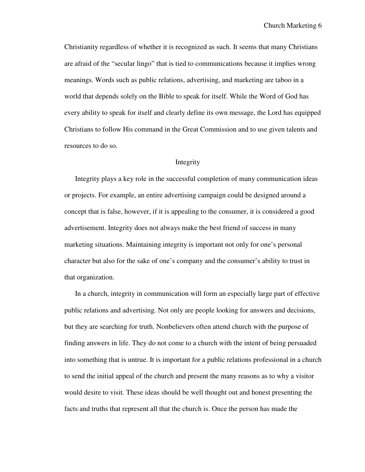Christianity regardless of whether it is recognized as such. It seems that many Christians are afraid of the "secular lingo" that is tied to communications because it implies wrong meanings. Words such as public relations, advertising, and marketing are taboo in a world that depends solely on the Bible to speak for itself. While the Word of God has every ability to speak for itself and clearly define its own message, the Lord has equipped Christians to follow His command in the Great Commission and to use given talents and resources to do so.

# Integrity

Integrity plays a key role in the successful completion of many communication ideas or projects. For example, an entire advertising campaign could be designed around a concept that is false, however, if it is appealing to the consumer, it is considered a good advertisement. Integrity does not always make the best friend of success in many marketing situations. Maintaining integrity is important not only for one's personal character but also for the sake of one's company and the consumer's ability to trust in that organization.

In a church, integrity in communication will form an especially large part of effective public relations and advertising. Not only are people looking for answers and decisions, but they are searching for truth. Nonbelievers often attend church with the purpose of finding answers in life. They do not come to a church with the intent of being persuaded into something that is untrue. It is important for a public relations professional in a church to send the initial appeal of the church and present the many reasons as to why a visitor would desire to visit. These ideas should be well thought out and honest presenting the facts and truths that represent all that the church is. Once the person has made the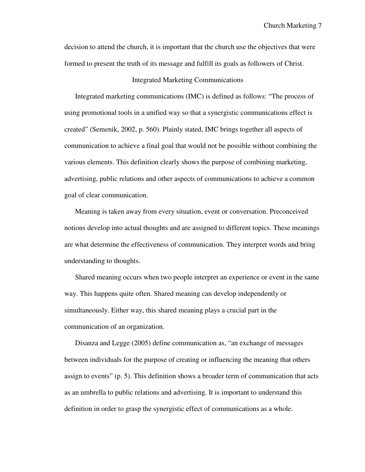decision to attend the church, it is important that the church use the objectives that were formed to present the truth of its message and fulfill its goals as followers of Christ.

## Integrated Marketing Communications

Integrated marketing communications (IMC) is defined as follows: "The process of using promotional tools in a unified way so that a synergistic communications effect is created" (Semenik, 2002, p. 560). Plainly stated, IMC brings together all aspects of communication to achieve a final goal that would not be possible without combining the various elements. This definition clearly shows the purpose of combining marketing, advertising, public relations and other aspects of communications to achieve a common goal of clear communication.

Meaning is taken away from every situation, event or conversation. Preconceived notions develop into actual thoughts and are assigned to different topics. These meanings are what determine the effectiveness of communication. They interpret words and bring understanding to thoughts.

Shared meaning occurs when two people interpret an experience or event in the same way. This happens quite often. Shared meaning can develop independently or simultaneously. Either way, this shared meaning plays a crucial part in the communication of an organization.

Disanza and Legge (2005) define communication as, "an exchange of messages between individuals for the purpose of creating or influencing the meaning that others assign to events" (p. 5). This definition shows a broader term of communication that acts as an umbrella to public relations and advertising. It is important to understand this definition in order to grasp the synergistic effect of communications as a whole.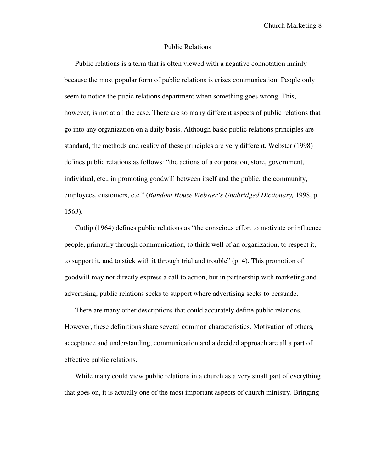Church Marketing 8

#### Public Relations

Public relations is a term that is often viewed with a negative connotation mainly because the most popular form of public relations is crises communication. People only seem to notice the pubic relations department when something goes wrong. This, however, is not at all the case. There are so many different aspects of public relations that go into any organization on a daily basis. Although basic public relations principles are standard, the methods and reality of these principles are very different. Webster (1998) defines public relations as follows: "the actions of a corporation, store, government, individual, etc., in promoting goodwill between itself and the public, the community, employees, customers, etc." (*Random House Webster's Unabridged Dictionary,* 1998, p. 1563).

Cutlip (1964) defines public relations as "the conscious effort to motivate or influence people, primarily through communication, to think well of an organization, to respect it, to support it, and to stick with it through trial and trouble" (p. 4). This promotion of goodwill may not directly express a call to action, but in partnership with marketing and advertising, public relations seeks to support where advertising seeks to persuade.

There are many other descriptions that could accurately define public relations. However, these definitions share several common characteristics. Motivation of others, acceptance and understanding, communication and a decided approach are all a part of effective public relations.

While many could view public relations in a church as a very small part of everything that goes on, it is actually one of the most important aspects of church ministry. Bringing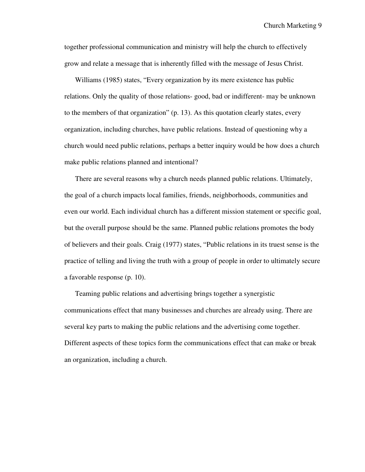together professional communication and ministry will help the church to effectively grow and relate a message that is inherently filled with the message of Jesus Christ.

Williams (1985) states, "Every organization by its mere existence has public relations. Only the quality of those relations- good, bad or indifferent- may be unknown to the members of that organization" (p. 13). As this quotation clearly states, every organization, including churches, have public relations. Instead of questioning why a church would need public relations, perhaps a better inquiry would be how does a church make public relations planned and intentional?

There are several reasons why a church needs planned public relations. Ultimately, the goal of a church impacts local families, friends, neighborhoods, communities and even our world. Each individual church has a different mission statement or specific goal, but the overall purpose should be the same. Planned public relations promotes the body of believers and their goals. Craig (1977) states, "Public relations in its truest sense is the practice of telling and living the truth with a group of people in order to ultimately secure a favorable response (p. 10).

Teaming public relations and advertising brings together a synergistic communications effect that many businesses and churches are already using. There are several key parts to making the public relations and the advertising come together. Different aspects of these topics form the communications effect that can make or break an organization, including a church.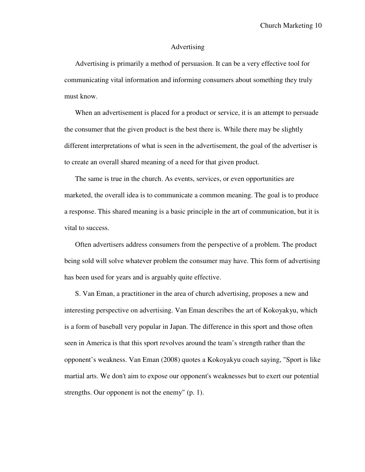#### Advertising

Advertising is primarily a method of persuasion. It can be a very effective tool for communicating vital information and informing consumers about something they truly must know.

When an advertisement is placed for a product or service, it is an attempt to persuade the consumer that the given product is the best there is. While there may be slightly different interpretations of what is seen in the advertisement, the goal of the advertiser is to create an overall shared meaning of a need for that given product.

The same is true in the church. As events, services, or even opportunities are marketed, the overall idea is to communicate a common meaning. The goal is to produce a response. This shared meaning is a basic principle in the art of communication, but it is vital to success.

Often advertisers address consumers from the perspective of a problem. The product being sold will solve whatever problem the consumer may have. This form of advertising has been used for years and is arguably quite effective.

S. Van Eman, a practitioner in the area of church advertising, proposes a new and interesting perspective on advertising. Van Eman describes the art of Kokoyakyu, which is a form of baseball very popular in Japan. The difference in this sport and those often seen in America is that this sport revolves around the team's strength rather than the opponent's weakness. Van Eman (2008) quotes a Kokoyakyu coach saying, "Sport is like martial arts. We don't aim to expose our opponent's weaknesses but to exert our potential strengths. Our opponent is not the enemy" (p. 1).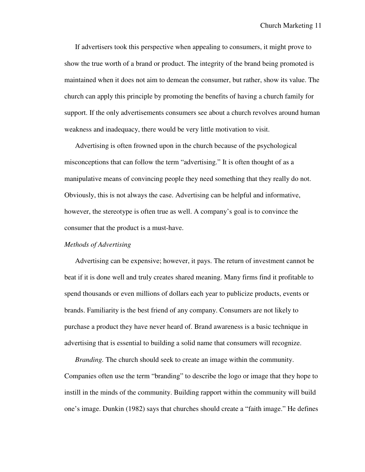If advertisers took this perspective when appealing to consumers, it might prove to show the true worth of a brand or product. The integrity of the brand being promoted is maintained when it does not aim to demean the consumer, but rather, show its value. The church can apply this principle by promoting the benefits of having a church family for support. If the only advertisements consumers see about a church revolves around human weakness and inadequacy, there would be very little motivation to visit.

Advertising is often frowned upon in the church because of the psychological misconceptions that can follow the term "advertising." It is often thought of as a manipulative means of convincing people they need something that they really do not. Obviously, this is not always the case. Advertising can be helpful and informative, however, the stereotype is often true as well. A company's goal is to convince the consumer that the product is a must-have.

### *Methods of Advertising*

 Advertising can be expensive; however, it pays. The return of investment cannot be beat if it is done well and truly creates shared meaning. Many firms find it profitable to spend thousands or even millions of dollars each year to publicize products, events or brands. Familiarity is the best friend of any company. Consumers are not likely to purchase a product they have never heard of. Brand awareness is a basic technique in advertising that is essential to building a solid name that consumers will recognize.

 *Branding.* The church should seek to create an image within the community. Companies often use the term "branding" to describe the logo or image that they hope to instill in the minds of the community. Building rapport within the community will build one's image. Dunkin (1982) says that churches should create a "faith image." He defines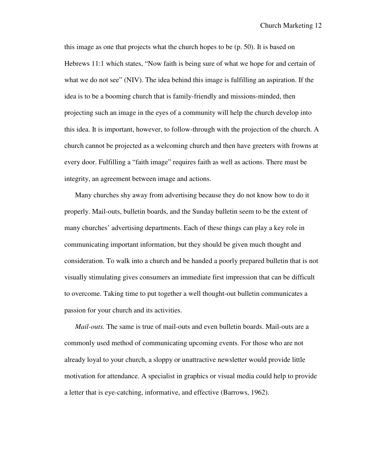this image as one that projects what the church hopes to be (p. 50). It is based on Hebrews 11:1 which states, "Now faith is being sure of what we hope for and certain of what we do not see" (NIV). The idea behind this image is fulfilling an aspiration. If the idea is to be a booming church that is family-friendly and missions-minded, then projecting such an image in the eyes of a community will help the church develop into this idea. It is important, however, to follow-through with the projection of the church. A church cannot be projected as a welcoming church and then have greeters with frowns at every door. Fulfilling a "faith image" requires faith as well as actions. There must be integrity, an agreement between image and actions.

Many churches shy away from advertising because they do not know how to do it properly. Mail-outs, bulletin boards, and the Sunday bulletin seem to be the extent of many churches' advertising departments. Each of these things can play a key role in communicating important information, but they should be given much thought and consideration. To walk into a church and be handed a poorly prepared bulletin that is not visually stimulating gives consumers an immediate first impression that can be difficult to overcome. Taking time to put together a well thought-out bulletin communicates a passion for your church and its activities.

*Mail-outs.* The same is true of mail-outs and even bulletin boards. Mail-outs are a commonly used method of communicating upcoming events. For those who are not already loyal to your church, a sloppy or unattractive newsletter would provide little motivation for attendance. A specialist in graphics or visual media could help to provide a letter that is eye-catching, informative, and effective (Barrows, 1962).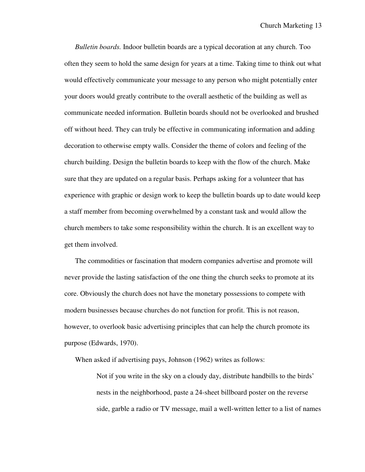*Bulletin boards.* Indoor bulletin boards are a typical decoration at any church. Too often they seem to hold the same design for years at a time. Taking time to think out what would effectively communicate your message to any person who might potentially enter your doors would greatly contribute to the overall aesthetic of the building as well as communicate needed information. Bulletin boards should not be overlooked and brushed off without heed. They can truly be effective in communicating information and adding decoration to otherwise empty walls. Consider the theme of colors and feeling of the church building. Design the bulletin boards to keep with the flow of the church. Make sure that they are updated on a regular basis. Perhaps asking for a volunteer that has experience with graphic or design work to keep the bulletin boards up to date would keep a staff member from becoming overwhelmed by a constant task and would allow the church members to take some responsibility within the church. It is an excellent way to get them involved.

The commodities or fascination that modern companies advertise and promote will never provide the lasting satisfaction of the one thing the church seeks to promote at its core. Obviously the church does not have the monetary possessions to compete with modern businesses because churches do not function for profit. This is not reason, however, to overlook basic advertising principles that can help the church promote its purpose (Edwards, 1970).

When asked if advertising pays, Johnson (1962) writes as follows:

Not if you write in the sky on a cloudy day, distribute handbills to the birds' nests in the neighborhood, paste a 24-sheet billboard poster on the reverse side, garble a radio or TV message, mail a well-written letter to a list of names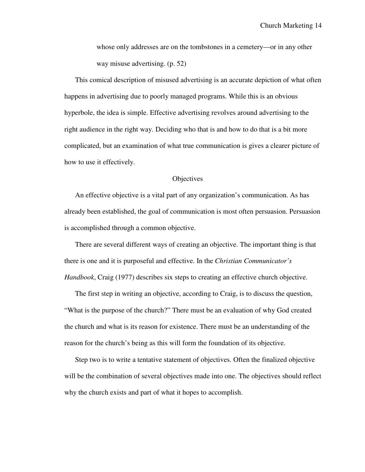whose only addresses are on the tombstones in a cemetery—or in any other way misuse advertising. (p. 52)

 This comical description of misused advertising is an accurate depiction of what often happens in advertising due to poorly managed programs. While this is an obvious hyperbole, the idea is simple. Effective advertising revolves around advertising to the right audience in the right way. Deciding who that is and how to do that is a bit more complicated, but an examination of what true communication is gives a clearer picture of how to use it effectively.

#### **Objectives**

An effective objective is a vital part of any organization's communication. As has already been established, the goal of communication is most often persuasion. Persuasion is accomplished through a common objective.

There are several different ways of creating an objective. The important thing is that there is one and it is purposeful and effective. In the *Christian Communicator's Handbook*, Craig (1977) describes six steps to creating an effective church objective.

The first step in writing an objective, according to Craig, is to discuss the question, "What is the purpose of the church?" There must be an evaluation of why God created the church and what is its reason for existence. There must be an understanding of the reason for the church's being as this will form the foundation of its objective.

Step two is to write a tentative statement of objectives. Often the finalized objective will be the combination of several objectives made into one. The objectives should reflect why the church exists and part of what it hopes to accomplish.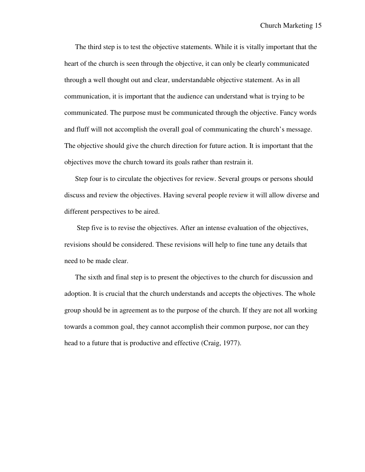The third step is to test the objective statements. While it is vitally important that the heart of the church is seen through the objective, it can only be clearly communicated through a well thought out and clear, understandable objective statement. As in all communication, it is important that the audience can understand what is trying to be communicated. The purpose must be communicated through the objective. Fancy words and fluff will not accomplish the overall goal of communicating the church's message. The objective should give the church direction for future action. It is important that the objectives move the church toward its goals rather than restrain it.

Step four is to circulate the objectives for review. Several groups or persons should discuss and review the objectives. Having several people review it will allow diverse and different perspectives to be aired.

 Step five is to revise the objectives. After an intense evaluation of the objectives, revisions should be considered. These revisions will help to fine tune any details that need to be made clear.

The sixth and final step is to present the objectives to the church for discussion and adoption. It is crucial that the church understands and accepts the objectives. The whole group should be in agreement as to the purpose of the church. If they are not all working towards a common goal, they cannot accomplish their common purpose, nor can they head to a future that is productive and effective (Craig, 1977).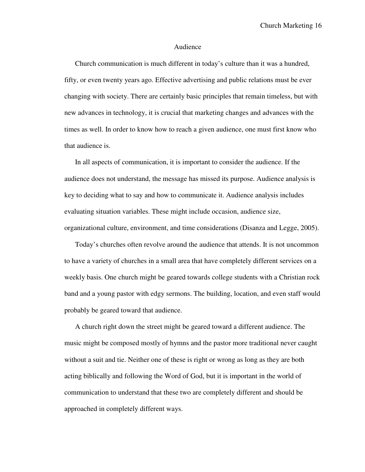## Audience

Church communication is much different in today's culture than it was a hundred, fifty, or even twenty years ago. Effective advertising and public relations must be ever changing with society. There are certainly basic principles that remain timeless, but with new advances in technology, it is crucial that marketing changes and advances with the times as well. In order to know how to reach a given audience, one must first know who that audience is.

In all aspects of communication, it is important to consider the audience. If the audience does not understand, the message has missed its purpose. Audience analysis is key to deciding what to say and how to communicate it. Audience analysis includes evaluating situation variables. These might include occasion, audience size, organizational culture, environment, and time considerations (Disanza and Legge, 2005).

Today's churches often revolve around the audience that attends. It is not uncommon to have a variety of churches in a small area that have completely different services on a weekly basis. One church might be geared towards college students with a Christian rock band and a young pastor with edgy sermons. The building, location, and even staff would probably be geared toward that audience.

A church right down the street might be geared toward a different audience. The music might be composed mostly of hymns and the pastor more traditional never caught without a suit and tie. Neither one of these is right or wrong as long as they are both acting biblically and following the Word of God, but it is important in the world of communication to understand that these two are completely different and should be approached in completely different ways.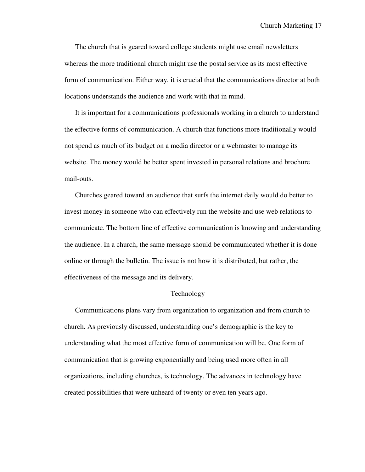The church that is geared toward college students might use email newsletters whereas the more traditional church might use the postal service as its most effective form of communication. Either way, it is crucial that the communications director at both locations understands the audience and work with that in mind.

It is important for a communications professionals working in a church to understand the effective forms of communication. A church that functions more traditionally would not spend as much of its budget on a media director or a webmaster to manage its website. The money would be better spent invested in personal relations and brochure mail-outs.

Churches geared toward an audience that surfs the internet daily would do better to invest money in someone who can effectively run the website and use web relations to communicate. The bottom line of effective communication is knowing and understanding the audience. In a church, the same message should be communicated whether it is done online or through the bulletin. The issue is not how it is distributed, but rather, the effectiveness of the message and its delivery.

## Technology

Communications plans vary from organization to organization and from church to church. As previously discussed, understanding one's demographic is the key to understanding what the most effective form of communication will be. One form of communication that is growing exponentially and being used more often in all organizations, including churches, is technology. The advances in technology have created possibilities that were unheard of twenty or even ten years ago.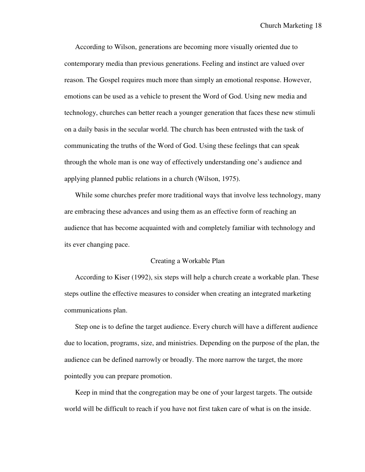According to Wilson, generations are becoming more visually oriented due to contemporary media than previous generations. Feeling and instinct are valued over reason. The Gospel requires much more than simply an emotional response. However, emotions can be used as a vehicle to present the Word of God. Using new media and technology, churches can better reach a younger generation that faces these new stimuli on a daily basis in the secular world. The church has been entrusted with the task of communicating the truths of the Word of God. Using these feelings that can speak through the whole man is one way of effectively understanding one's audience and applying planned public relations in a church (Wilson, 1975).

While some churches prefer more traditional ways that involve less technology, many are embracing these advances and using them as an effective form of reaching an audience that has become acquainted with and completely familiar with technology and its ever changing pace.

#### Creating a Workable Plan

According to Kiser (1992), six steps will help a church create a workable plan. These steps outline the effective measures to consider when creating an integrated marketing communications plan.

Step one is to define the target audience. Every church will have a different audience due to location, programs, size, and ministries. Depending on the purpose of the plan, the audience can be defined narrowly or broadly. The more narrow the target, the more pointedly you can prepare promotion.

Keep in mind that the congregation may be one of your largest targets. The outside world will be difficult to reach if you have not first taken care of what is on the inside.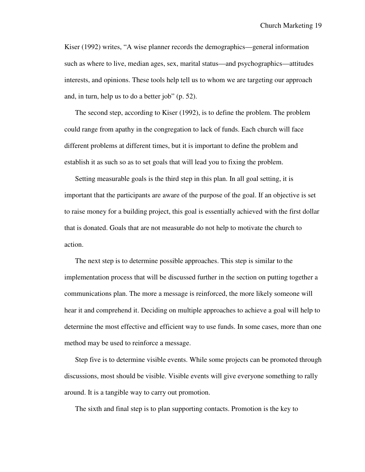Kiser (1992) writes, "A wise planner records the demographics—general information such as where to live, median ages, sex, marital status—and psychographics—attitudes interests, and opinions. These tools help tell us to whom we are targeting our approach and, in turn, help us to do a better job" (p. 52).

The second step, according to Kiser (1992), is to define the problem. The problem could range from apathy in the congregation to lack of funds. Each church will face different problems at different times, but it is important to define the problem and establish it as such so as to set goals that will lead you to fixing the problem.

Setting measurable goals is the third step in this plan. In all goal setting, it is important that the participants are aware of the purpose of the goal. If an objective is set to raise money for a building project, this goal is essentially achieved with the first dollar that is donated. Goals that are not measurable do not help to motivate the church to action.

The next step is to determine possible approaches. This step is similar to the implementation process that will be discussed further in the section on putting together a communications plan. The more a message is reinforced, the more likely someone will hear it and comprehend it. Deciding on multiple approaches to achieve a goal will help to determine the most effective and efficient way to use funds. In some cases, more than one method may be used to reinforce a message.

Step five is to determine visible events. While some projects can be promoted through discussions, most should be visible. Visible events will give everyone something to rally around. It is a tangible way to carry out promotion.

The sixth and final step is to plan supporting contacts. Promotion is the key to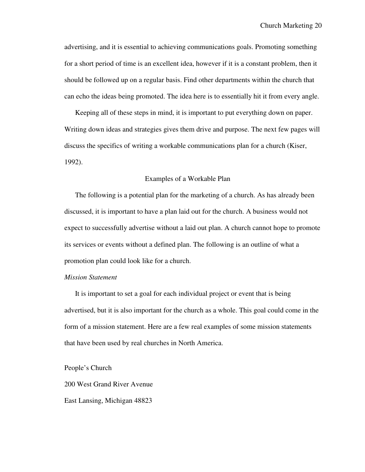advertising, and it is essential to achieving communications goals. Promoting something for a short period of time is an excellent idea, however if it is a constant problem, then it should be followed up on a regular basis. Find other departments within the church that can echo the ideas being promoted. The idea here is to essentially hit it from every angle.

Keeping all of these steps in mind, it is important to put everything down on paper. Writing down ideas and strategies gives them drive and purpose. The next few pages will discuss the specifics of writing a workable communications plan for a church (Kiser, 1992).

### Examples of a Workable Plan

The following is a potential plan for the marketing of a church. As has already been discussed, it is important to have a plan laid out for the church. A business would not expect to successfully advertise without a laid out plan. A church cannot hope to promote its services or events without a defined plan. The following is an outline of what a promotion plan could look like for a church.

#### *Mission Statement*

It is important to set a goal for each individual project or event that is being advertised, but it is also important for the church as a whole. This goal could come in the form of a mission statement. Here are a few real examples of some mission statements that have been used by real churches in North America.

People's Church

200 West Grand River Avenue

East Lansing, Michigan 48823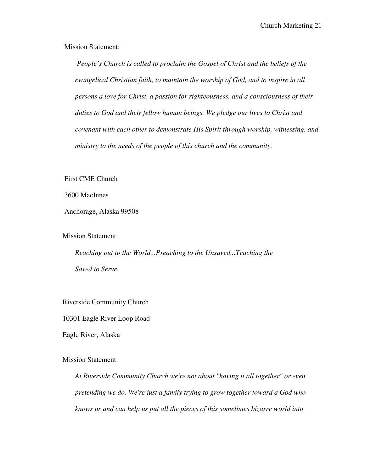Mission Statement:

 *People's Church is called to proclaim the Gospel of Christ and the beliefs of the evangelical Christian faith, to maintain the worship of God, and to inspire in all persons a love for Christ, a passion for righteousness, and a consciousness of their duties to God and their fellow human beings. We pledge our lives to Christ and covenant with each other to demonstrate His Spirit through worship, witnessing, and ministry to the needs of the people of this church and the community.* 

First CME Church

3600 MacInnes

Anchorage, Alaska 99508

Mission Statement:

*Reaching out to the World...Preaching to the Unsaved...Teaching the Saved to Serve.* 

Riverside Community Church

10301 Eagle River Loop Road

Eagle River, Alaska

Mission Statement:

*At Riverside Community Church we're not about "having it all together" or even pretending we do. We're just a family trying to grow together toward a God who knows us and can help us put all the pieces of this sometimes bizarre world into*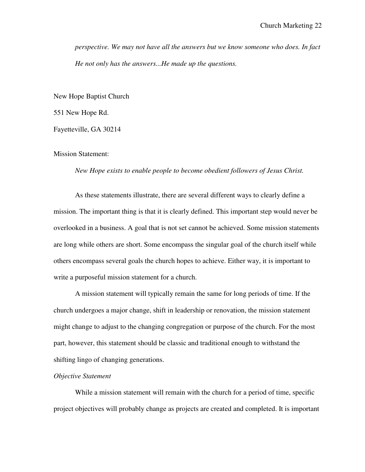*perspective. We may not have all the answers but we know someone who does. In fact He not only has the answers...He made up the questions.* 

New Hope Baptist Church

551 New Hope Rd.

Fayetteville, GA 30214

Mission Statement:

*New Hope exists to enable people to become obedient followers of Jesus Christ.* 

 As these statements illustrate, there are several different ways to clearly define a mission. The important thing is that it is clearly defined. This important step would never be overlooked in a business. A goal that is not set cannot be achieved. Some mission statements are long while others are short. Some encompass the singular goal of the church itself while others encompass several goals the church hopes to achieve. Either way, it is important to write a purposeful mission statement for a church.

 A mission statement will typically remain the same for long periods of time. If the church undergoes a major change, shift in leadership or renovation, the mission statement might change to adjust to the changing congregation or purpose of the church. For the most part, however, this statement should be classic and traditional enough to withstand the shifting lingo of changing generations.

#### *Objective Statement*

 While a mission statement will remain with the church for a period of time, specific project objectives will probably change as projects are created and completed. It is important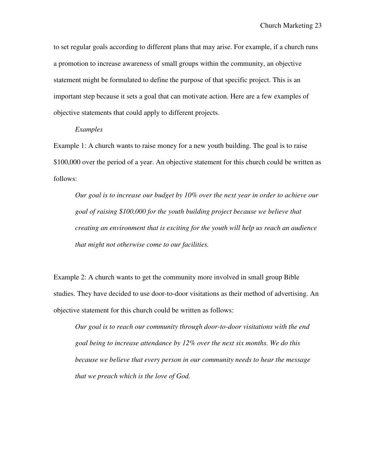to set regular goals according to different plans that may arise. For example, if a church runs a promotion to increase awareness of small groups within the community, an objective statement might be formulated to define the purpose of that specific project. This is an important step because it sets a goal that can motivate action. Here are a few examples of objective statements that could apply to different projects.

### *Examples*

Example 1: A church wants to raise money for a new youth building. The goal is to raise \$100,000 over the period of a year. An objective statement for this church could be written as follows:

*Our goal is to increase our budget by 10% over the next year in order to achieve our goal of raising \$100,000 for the youth building project because we believe that creating an environment that is exciting for the youth will help us reach an audience that might not otherwise come to our facilities.* 

Example 2: A church wants to get the community more involved in small group Bible studies. They have decided to use door-to-door visitations as their method of advertising. An objective statement for this church could be written as follows:

*Our goal is to reach our community through door-to-door visitations with the end goal being to increase attendance by 12% over the next six months. We do this because we believe that every person in our community needs to hear the message that we preach which is the love of God.*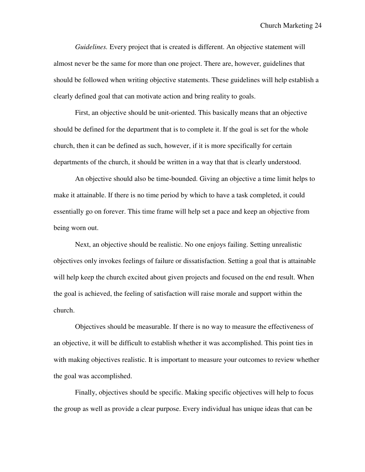*Guidelines.* Every project that is created is different. An objective statement will almost never be the same for more than one project. There are, however, guidelines that should be followed when writing objective statements. These guidelines will help establish a clearly defined goal that can motivate action and bring reality to goals.

 First, an objective should be unit-oriented. This basically means that an objective should be defined for the department that is to complete it. If the goal is set for the whole church, then it can be defined as such, however, if it is more specifically for certain departments of the church, it should be written in a way that that is clearly understood.

 An objective should also be time-bounded. Giving an objective a time limit helps to make it attainable. If there is no time period by which to have a task completed, it could essentially go on forever. This time frame will help set a pace and keep an objective from being worn out.

 Next, an objective should be realistic. No one enjoys failing. Setting unrealistic objectives only invokes feelings of failure or dissatisfaction. Setting a goal that is attainable will help keep the church excited about given projects and focused on the end result. When the goal is achieved, the feeling of satisfaction will raise morale and support within the church.

 Objectives should be measurable. If there is no way to measure the effectiveness of an objective, it will be difficult to establish whether it was accomplished. This point ties in with making objectives realistic. It is important to measure your outcomes to review whether the goal was accomplished.

 Finally, objectives should be specific. Making specific objectives will help to focus the group as well as provide a clear purpose. Every individual has unique ideas that can be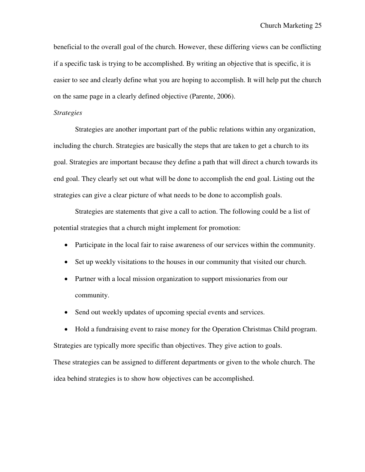beneficial to the overall goal of the church. However, these differing views can be conflicting if a specific task is trying to be accomplished. By writing an objective that is specific, it is easier to see and clearly define what you are hoping to accomplish. It will help put the church on the same page in a clearly defined objective (Parente, 2006).

### *Strategies*

 Strategies are another important part of the public relations within any organization, including the church. Strategies are basically the steps that are taken to get a church to its goal. Strategies are important because they define a path that will direct a church towards its end goal. They clearly set out what will be done to accomplish the end goal. Listing out the strategies can give a clear picture of what needs to be done to accomplish goals.

 Strategies are statements that give a call to action. The following could be a list of potential strategies that a church might implement for promotion:

- Participate in the local fair to raise awareness of our services within the community.
- Set up weekly visitations to the houses in our community that visited our church.
- Partner with a local mission organization to support missionaries from our community.
- Send out weekly updates of upcoming special events and services.

• Hold a fundraising event to raise money for the Operation Christmas Child program. Strategies are typically more specific than objectives. They give action to goals.

These strategies can be assigned to different departments or given to the whole church. The idea behind strategies is to show how objectives can be accomplished.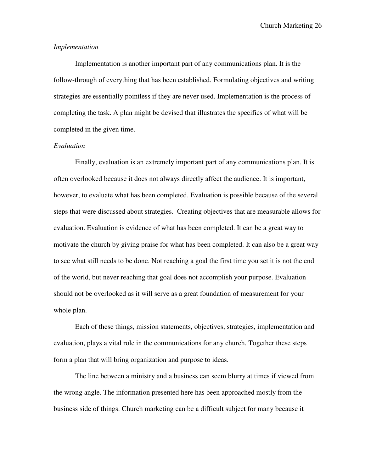Church Marketing 26

## *Implementation*

 Implementation is another important part of any communications plan. It is the follow-through of everything that has been established. Formulating objectives and writing strategies are essentially pointless if they are never used. Implementation is the process of completing the task. A plan might be devised that illustrates the specifics of what will be completed in the given time.

## *Evaluation*

 Finally, evaluation is an extremely important part of any communications plan. It is often overlooked because it does not always directly affect the audience. It is important, however, to evaluate what has been completed. Evaluation is possible because of the several steps that were discussed about strategies. Creating objectives that are measurable allows for evaluation. Evaluation is evidence of what has been completed. It can be a great way to motivate the church by giving praise for what has been completed. It can also be a great way to see what still needs to be done. Not reaching a goal the first time you set it is not the end of the world, but never reaching that goal does not accomplish your purpose. Evaluation should not be overlooked as it will serve as a great foundation of measurement for your whole plan.

 Each of these things, mission statements, objectives, strategies, implementation and evaluation, plays a vital role in the communications for any church. Together these steps form a plan that will bring organization and purpose to ideas.

 The line between a ministry and a business can seem blurry at times if viewed from the wrong angle. The information presented here has been approached mostly from the business side of things. Church marketing can be a difficult subject for many because it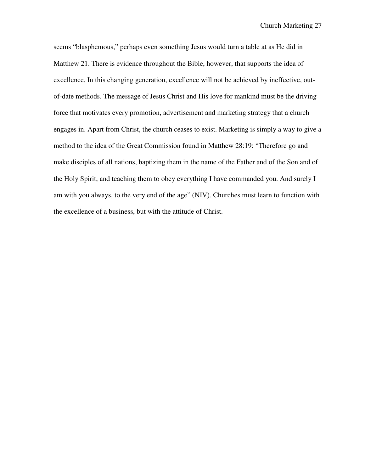seems "blasphemous," perhaps even something Jesus would turn a table at as He did in Matthew 21. There is evidence throughout the Bible, however, that supports the idea of excellence. In this changing generation, excellence will not be achieved by ineffective, outof-date methods. The message of Jesus Christ and His love for mankind must be the driving force that motivates every promotion, advertisement and marketing strategy that a church engages in. Apart from Christ, the church ceases to exist. Marketing is simply a way to give a method to the idea of the Great Commission found in Matthew 28:19: "Therefore go and make disciples of all nations, baptizing them in the name of the Father and of the Son and of the Holy Spirit, and teaching them to obey everything I have commanded you. And surely I am with you always, to the very end of the age" (NIV). Churches must learn to function with the excellence of a business, but with the attitude of Christ.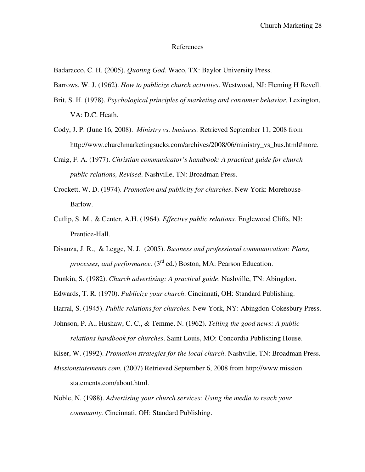#### References

Badaracco, C. H. (2005). *Quoting God.* Waco, TX: Baylor University Press.

Barrows, W. J. (1962). *How to publicize church activities*. Westwood, NJ: Fleming H Revell.

- Brit, S. H. (1978). *Psychological principles of marketing and consumer behavior*. Lexington, VA: D.C. Heath.
- Cody, J. P. (June 16, 2008). *Ministry vs. business.* Retrieved September 11, 2008 from http://www.churchmarketingsucks.com/archives/2008/06/ministry vs\_bus.html#more.
- Craig, F. A. (1977). *Christian communicator's handbook: A practical guide for church public relations, Revised*. Nashville, TN: Broadman Press.
- Crockett, W. D. (1974). *Promotion and publicity for churches*. New York: Morehouse-Barlow.
- Cutlip, S. M., & Center, A.H. (1964). *Effective public relations.* Englewood Cliffs, NJ: Prentice-Hall.
- Disanza, J. R., & Legge, N. J. (2005). *Business and professional communication: Plans, processes, and performance.* (3<sup>rd</sup> ed.) Boston, MA: Pearson Education.

Dunkin, S. (1982). *Church advertising: A practical guide*. Nashville, TN: Abingdon.

Edwards, T. R. (1970). *Publicize your church*. Cincinnati, OH: Standard Publishing.

Harral, S. (1945). *Public relations for churches.* New York, NY: Abingdon-Cokesbury Press.

Johnson, P. A., Hushaw, C. C., & Temme, N. (1962). *Telling the good news: A public relations handbook for churches*. Saint Louis, MO: Concordia Publishing House.

Kiser, W. (1992). *Promotion strategies for the local church*. Nashville, TN: Broadman Press.

- *Missionstatements.com.* (2007) Retrieved September 6, 2008 from http://www.mission statements.com/about.html.
- Noble, N. (1988). *Advertising your church services: Using the media to reach your community.* Cincinnati, OH: Standard Publishing.